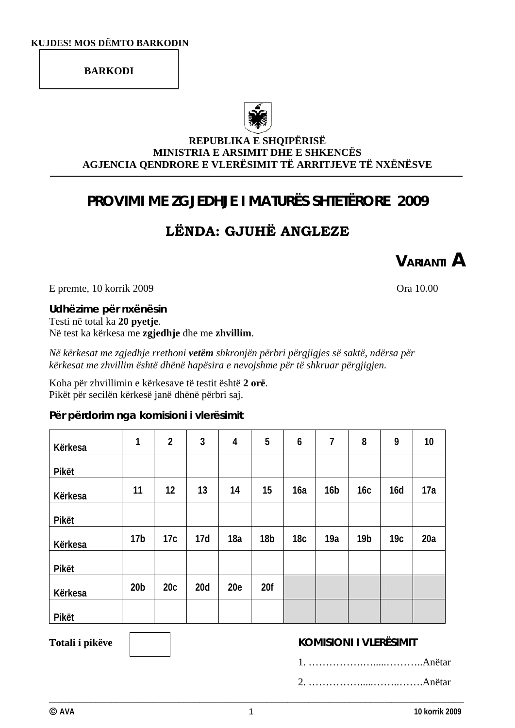### **BARKODI**



### **REPUBLIKA E SHQIPËRISË MINISTRIA E ARSIMIT DHE E SHKENCËS AGJENCIA QENDRORE E VLERËSIMIT TË ARRITJEVE TË NXËNËSVE**

## **PROVIMI ME ZGJEDHJE I MATURËS SHTETËRORE 2009**

# **LËNDA: GJUHË ANGLEZE**

**VARIANTI A**

E premte, 10 korrik 2009 Ora 10.00

**Udhëzime për nxënësin**  Testi në total ka **20 pyetje**. Në test ka kërkesa me **zgjedhje** dhe me **zhvillim**.

*Në kërkesat me zgjedhje rrethoni vetëm shkronjën përbri përgjigjes së saktë, ndërsa për kërkesat me zhvillim është dhënë hapësira e nevojshme për të shkruar përgjigjen.* 

Koha për zhvillimin e kërkesave të testit është **2 orë**. Pikët për secilën kërkesë janë dhënë përbri saj.

### **Për përdorim nga komisioni i vlerësimit**

| Kërkesa | 1               | $\overline{2}$ | 3   | $\overline{4}$ | 5               | 6               | $\overline{1}$  | 8               | 9               | 10  |
|---------|-----------------|----------------|-----|----------------|-----------------|-----------------|-----------------|-----------------|-----------------|-----|
| Pikët   |                 |                |     |                |                 |                 |                 |                 |                 |     |
| Kërkesa | 11              | 12             | 13  | 14             | 15              | 16a             | 16 <sub>b</sub> | 16c             | 16d             | 17a |
| Pikët   |                 |                |     |                |                 |                 |                 |                 |                 |     |
| Kërkesa | 17 <sub>b</sub> | 17c            | 17d | 18a            | 18 <sub>b</sub> | 18 <sub>c</sub> | 19a             | 19 <sub>b</sub> | 19 <sub>C</sub> | 20a |
| Pikët   |                 |                |     |                |                 |                 |                 |                 |                 |     |
| Kërkesa | 20 <sub>b</sub> | 20c            | 20d | 20e            | 20f             |                 |                 |                 |                 |     |
| Pikët   |                 |                |     |                |                 |                 |                 |                 |                 |     |

## **Totali i pikëve KOMISIONI I VLERËSIMIT**

2. …………….....……..…….Anëtar

**\_\_\_\_\_\_\_\_\_\_\_\_\_\_\_\_\_\_\_\_\_\_\_\_\_\_\_\_\_\_\_\_\_\_\_\_\_\_\_\_\_\_\_\_\_\_\_\_\_\_\_\_\_\_\_\_\_\_\_\_\_\_\_\_\_\_\_\_\_\_\_\_\_\_\_\_\_\_\_\_**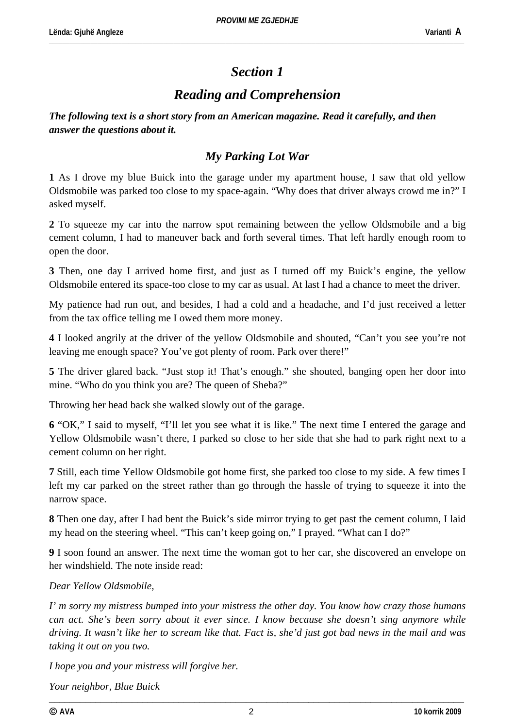\_\_\_\_\_\_\_\_\_\_\_\_\_\_\_\_\_\_\_\_\_\_\_\_\_\_\_\_\_\_\_\_\_\_\_\_\_\_\_\_\_\_\_\_\_\_\_\_\_\_\_\_\_\_\_\_\_\_\_\_\_\_\_\_\_\_\_\_\_\_\_\_\_\_\_\_\_\_\_\_\_\_\_\_\_\_\_\_\_\_\_\_\_\_\_\_\_\_\_\_\_\_\_\_\_\_\_\_\_\_\_\_\_\_\_\_\_\_\_\_

## *Section 1*

## *Reading and Comprehension*

*The following text is a short story from an American magazine. Read it carefully, and then answer the questions about it.* 

## *My Parking Lot War*

**1** As I drove my blue Buick into the garage under my apartment house, I saw that old yellow Oldsmobile was parked too close to my space-again. "Why does that driver always crowd me in?" I asked myself.

**2** To squeeze my car into the narrow spot remaining between the yellow Oldsmobile and a big cement column, I had to maneuver back and forth several times. That left hardly enough room to open the door.

**3** Then, one day I arrived home first, and just as I turned off my Buick's engine, the yellow Oldsmobile entered its space-too close to my car as usual. At last I had a chance to meet the driver.

My patience had run out, and besides, I had a cold and a headache, and I'd just received a letter from the tax office telling me I owed them more money.

**4** I looked angrily at the driver of the yellow Oldsmobile and shouted, "Can't you see you're not leaving me enough space? You've got plenty of room. Park over there!"

**5** The driver glared back. "Just stop it! That's enough." she shouted, banging open her door into mine. "Who do you think you are? The queen of Sheba?"

Throwing her head back she walked slowly out of the garage.

**6** "OK," I said to myself, "I'll let you see what it is like." The next time I entered the garage and Yellow Oldsmobile wasn't there, I parked so close to her side that she had to park right next to a cement column on her right.

**7** Still, each time Yellow Oldsmobile got home first, she parked too close to my side. A few times I left my car parked on the street rather than go through the hassle of trying to squeeze it into the narrow space.

**8** Then one day, after I had bent the Buick's side mirror trying to get past the cement column, I laid my head on the steering wheel. "This can't keep going on," I prayed. "What can I do?"

**9** I soon found an answer. The next time the woman got to her car, she discovered an envelope on her windshield. The note inside read:

*Dear Yellow Oldsmobile,* 

*I' m sorry my mistress bumped into your mistress the other day. You know how crazy those humans can act. She's been sorry about it ever since. I know because she doesn't sing anymore while driving. It wasn't like her to scream like that. Fact is, she'd just got bad news in the mail and was taking it out on you two.* 

*I hope you and your mistress will forgive her.* 

*Your neighbor, Blue Buick*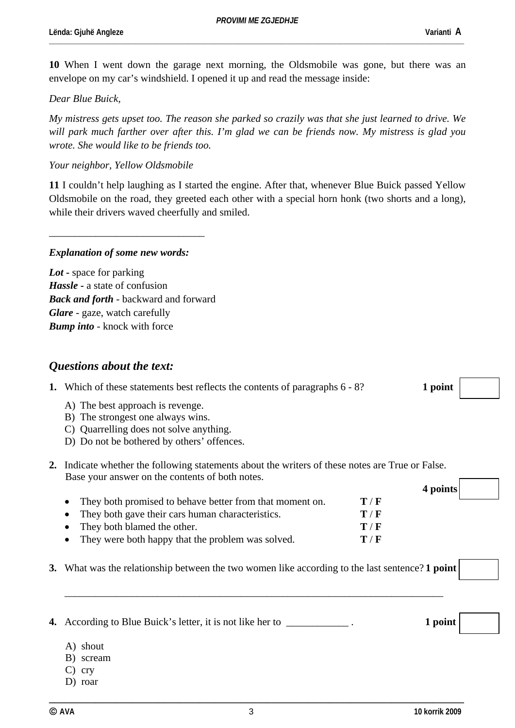\_\_\_\_\_\_\_\_\_\_\_\_\_\_\_\_\_\_\_\_\_\_\_\_\_\_\_\_\_\_\_\_\_\_\_\_\_\_\_\_\_\_\_\_\_\_\_\_\_\_\_\_\_\_\_\_\_\_\_\_\_\_\_\_\_\_\_\_\_\_\_\_\_\_\_\_\_\_\_\_\_\_\_\_\_\_\_\_\_\_\_\_\_\_\_\_\_\_\_\_\_\_\_\_\_\_\_\_\_\_\_\_\_\_\_\_\_\_\_\_

**10** When I went down the garage next morning, the Oldsmobile was gone, but there was an envelope on my car's windshield. I opened it up and read the message inside:

#### *Dear Blue Buick,*

*My mistress gets upset too. The reason she parked so crazily was that she just learned to drive. We will park much farther over after this. I'm glad we can be friends now. My mistress is glad you wrote. She would like to be friends too.* 

#### *Your neighbor, Yellow Oldsmobile*

**11** I couldn't help laughing as I started the engine. After that, whenever Blue Buick passed Yellow Oldsmobile on the road, they greeted each other with a special horn honk (two shorts and a long), while their drivers waved cheerfully and smiled.

#### *Explanation of some new words:*

\_\_\_\_\_\_\_\_\_\_\_\_\_\_\_\_\_\_\_\_\_\_\_\_\_\_\_\_\_\_

*Lot* **-** space for parking *Hassle* **-** a state of confusion *Back and forth* - backward and forward *Glare* - gaze, watch carefully *Bump into* - knock with force

### *Questions about the text:*

|  | <b>1.</b> Which of these statements best reflects the contents of paragraphs 6 - 8? | 1 point |
|--|-------------------------------------------------------------------------------------|---------|
|--|-------------------------------------------------------------------------------------|---------|

**4 points** 

- A) The best approach is revenge.
- B) The strongest one always wins.
- C) Quarrelling does not solve anything.
- D) Do not be bothered by others' offences.
- **2.** Indicate whether the following statements about the writers of these notes are True or False. Base your answer on the contents of both notes.

| • They both promised to behave better from that moment on. | T/F                       |
|------------------------------------------------------------|---------------------------|
| • They both gave their cars human characteristics.         | T/F                       |
| • They both blamed the other.                              | $\mathbf{T} / \mathbf{F}$ |
| • They were both happy that the problem was solved.        | T/F                       |

**3.** What was the relationship between the two women like according to the last sentence? **1 point** 

\_\_\_\_\_\_\_\_\_\_\_\_\_\_\_\_\_\_\_\_\_\_\_\_\_\_\_\_\_\_\_\_\_\_\_\_\_\_\_\_\_\_\_\_\_\_\_\_\_\_\_\_\_\_\_\_\_\_\_\_\_\_\_\_\_\_\_\_\_\_\_\_\_

**4.** According to Blue Buick's letter, it is not like her to \_\_\_\_\_\_\_\_\_\_\_\_ . **1 point** 

- A) shout
- B) scream
- C) cry
- D) roar

**\_\_\_\_\_\_\_\_\_\_\_\_\_\_\_\_\_\_\_\_\_\_\_\_\_\_\_\_\_\_\_\_\_\_\_\_\_\_\_\_\_\_\_\_\_\_\_\_\_\_\_\_\_\_\_\_\_\_\_\_\_\_\_\_\_\_\_\_\_\_\_\_\_\_\_\_\_\_\_\_**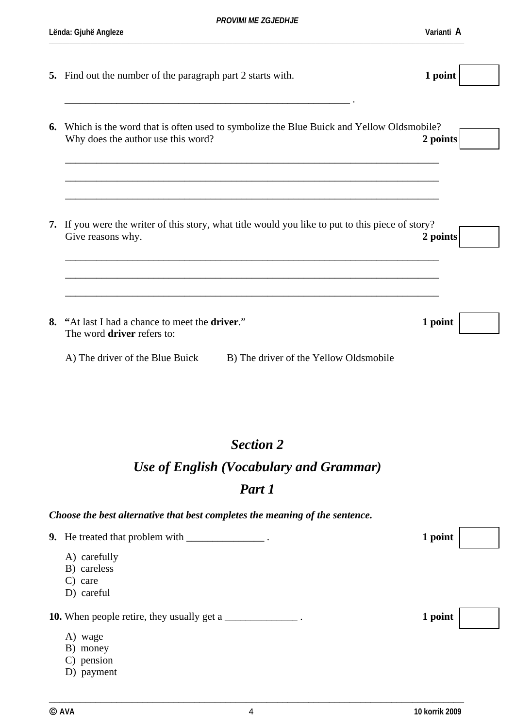**5.** Find out the number of the paragraph part 2 starts with. **1 point** 

| Why does the author use this word?                                                 | Which is the word that is often used to symbolize the Blue Buick and Yellow Oldsmobile?           | 2 points |
|------------------------------------------------------------------------------------|---------------------------------------------------------------------------------------------------|----------|
| Give reasons why.                                                                  | 7. If you were the writer of this story, what title would you like to put to this piece of story? | 2 points |
|                                                                                    |                                                                                                   |          |
| "At last I had a chance to meet the <b>driver.</b> "<br>The word driver refers to: |                                                                                                   | 1 point  |

## *Section 2*

# *Use of English (Vocabulary and Grammar)*

# *Part 1*

## *Choose the best alternative that best completes the meaning of the sentence.*

| <b>9.</b> He treated that problem with _______         | 1 point |  |
|--------------------------------------------------------|---------|--|
| A) carefully<br>B) careless<br>$C)$ care<br>D) careful |         |  |
| <b>10.</b> When people retire, they usually get a      | 1 point |  |
| A) wage<br>B) money<br>C) pension<br>D) payment        |         |  |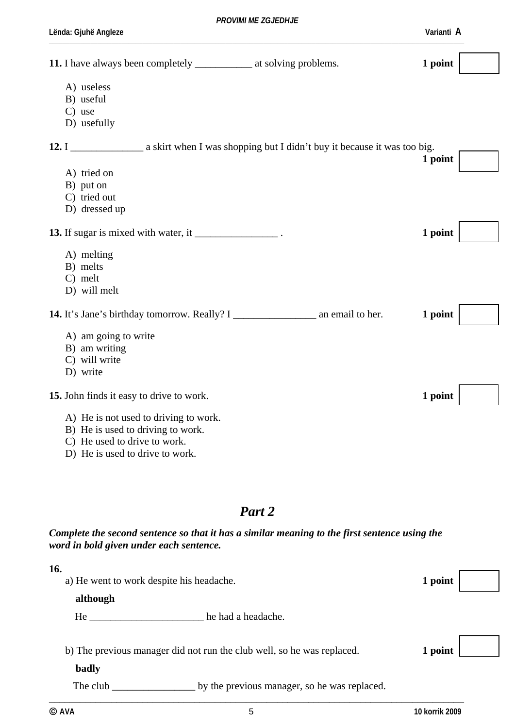| 11. I have always been completely ________________ at solving problems. | 1 point |
|-------------------------------------------------------------------------|---------|
| A) useless                                                              |         |
| B) useful                                                               |         |
| $C$ ) use                                                               |         |
| D) usefully                                                             |         |
|                                                                         |         |
|                                                                         | 1 point |
| A) tried on                                                             |         |
| B) put on                                                               |         |
| C) tried out                                                            |         |
| D) dressed up                                                           |         |
| 13. If sugar is mixed with water, it __________________.                | 1 point |
| A) melting                                                              |         |
| B) melts                                                                |         |
| C) melt                                                                 |         |
| D) will melt                                                            |         |
|                                                                         | 1 point |
| A) am going to write                                                    |         |
| B) am writing                                                           |         |
| C) will write                                                           |         |
| D) write                                                                |         |
| 15. John finds it easy to drive to work.                                | 1 point |
| A) He is not used to driving to work.                                   |         |
| B) He is used to driving to work.                                       |         |
| C) He used to drive to work.                                            |         |

D) He is used to drive to work.

## *Part 2*

### *Complete the second sentence so that it has a similar meaning to the first sentence using the word in bold given under each sentence.*

| 16.<br>although | a) He went to work despite his headache.                               | 1 point |
|-----------------|------------------------------------------------------------------------|---------|
| He              | he had a headache.                                                     |         |
| badly           | b) The previous manager did not run the club well, so he was replaced. | 1 point |
| The club        | by the previous manager, so he was replaced.                           |         |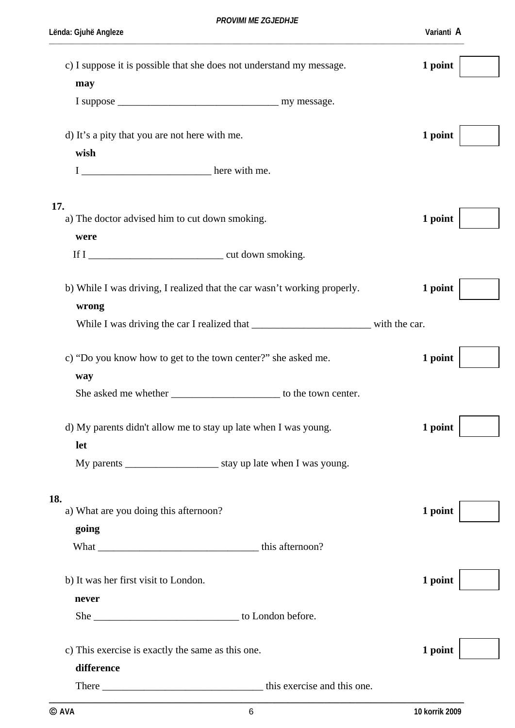| c) I suppose it is possible that she does not understand my message.<br>may                | 1 point |
|--------------------------------------------------------------------------------------------|---------|
|                                                                                            |         |
|                                                                                            |         |
| d) It's a pity that you are not here with me.                                              | 1 point |
| wish                                                                                       |         |
|                                                                                            |         |
|                                                                                            |         |
|                                                                                            |         |
| 17.<br>a) The doctor advised him to cut down smoking.                                      | 1 point |
| were                                                                                       |         |
|                                                                                            |         |
|                                                                                            |         |
| b) While I was driving, I realized that the car wasn't working properly.                   | 1 point |
| wrong                                                                                      |         |
| While I was driving the car I realized that ________________________________ with the car. |         |
|                                                                                            |         |
| c) "Do you know how to get to the town center?" she asked me.                              | 1 point |
|                                                                                            |         |
| way                                                                                        |         |
| She asked me whether _____________________________ to the town center.                     |         |
| d) My parents didn't allow me to stay up late when I was young.                            | 1 point |
|                                                                                            |         |
| let                                                                                        |         |
|                                                                                            |         |
|                                                                                            |         |
| 18.<br>a) What are you doing this afternoon?                                               | 1 point |
| going                                                                                      |         |
|                                                                                            |         |
|                                                                                            |         |
| b) It was her first visit to London.                                                       | 1 point |
|                                                                                            |         |
| never                                                                                      |         |
|                                                                                            |         |
|                                                                                            |         |
| c) This exercise is exactly the same as this one.                                          | 1 point |
| difference                                                                                 |         |
|                                                                                            |         |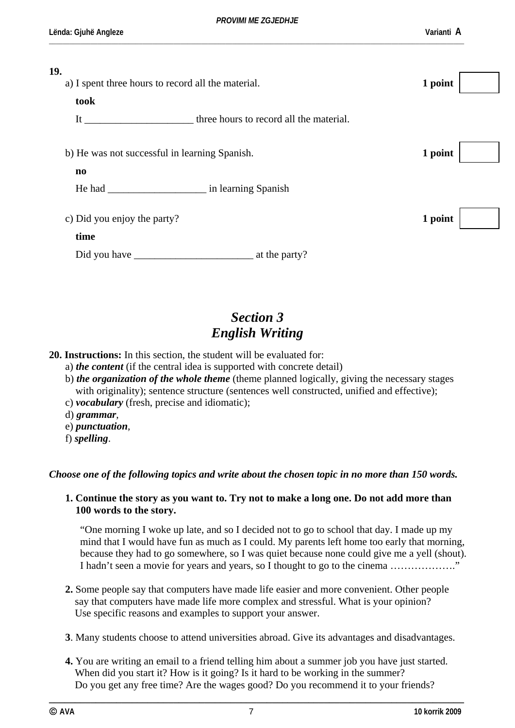\_\_\_\_\_\_\_\_\_\_\_\_\_\_\_\_\_\_\_\_\_\_\_\_\_\_\_\_\_\_\_\_\_\_\_\_\_\_\_\_\_\_\_\_\_\_\_\_\_\_\_\_\_\_\_\_\_\_\_\_\_\_\_\_\_\_\_\_\_\_\_\_\_\_\_\_\_\_\_\_\_\_\_\_\_\_\_\_\_\_\_\_\_\_\_\_\_\_\_\_\_\_\_\_\_\_\_\_\_\_\_\_\_\_\_\_\_\_\_\_

| 19.                                                |                                         |         |  |
|----------------------------------------------------|-----------------------------------------|---------|--|
| a) I spent three hours to record all the material. |                                         | 1 point |  |
| took                                               |                                         |         |  |
| It                                                 | three hours to record all the material. |         |  |
|                                                    |                                         |         |  |
| b) He was not successful in learning Spanish.      |                                         | 1 point |  |
| $\mathbf{n}\mathbf{o}$                             |                                         |         |  |
|                                                    |                                         |         |  |
|                                                    |                                         |         |  |
| c) Did you enjoy the party?                        |                                         | 1 point |  |
| time                                               |                                         |         |  |
| Did you have                                       | at the party?                           |         |  |
|                                                    |                                         |         |  |

# *Section 3 English Writing*

#### **20. Instructions:** In this section, the student will be evaluated for:

- a) *the content* (if the central idea is supported with concrete detail)
- b) *the organization of the whole theme* (theme planned logically, giving the necessary stages with originality); sentence structure (sentences well constructed, unified and effective);
- c) *vocabulary* (fresh, precise and idiomatic);
- d) *grammar*,
- e) *punctuation*,
- f) *spelling*.

#### *Choose one of the following topics and write about the chosen topic in no more than 150 words.*

#### **1. Continue the story as you want to. Try not to make a long one. Do not add more than 100 words to the story.**

"One morning I woke up late, and so I decided not to go to school that day. I made up my mind that I would have fun as much as I could. My parents left home too early that morning, because they had to go somewhere, so I was quiet because none could give me a yell (shout). I hadn't seen a movie for years and years, so I thought to go to the cinema ………………."

- **2.** Some people say that computers have made life easier and more convenient. Other people say that computers have made life more complex and stressful. What is your opinion? Use specific reasons and examples to support your answer.
- **3**. Many students choose to attend universities abroad. Give its advantages and disadvantages.
- **4.** You are writing an email to a friend telling him about a summer job you have just started. When did you start it? How is it going? Is it hard to be working in the summer? Do you get any free time? Are the wages good? Do you recommend it to your friends?

**\_\_\_\_\_\_\_\_\_\_\_\_\_\_\_\_\_\_\_\_\_\_\_\_\_\_\_\_\_\_\_\_\_\_\_\_\_\_\_\_\_\_\_\_\_\_\_\_\_\_\_\_\_\_\_\_\_\_\_\_\_\_\_\_\_\_\_\_\_\_\_\_\_\_\_\_\_\_\_\_**